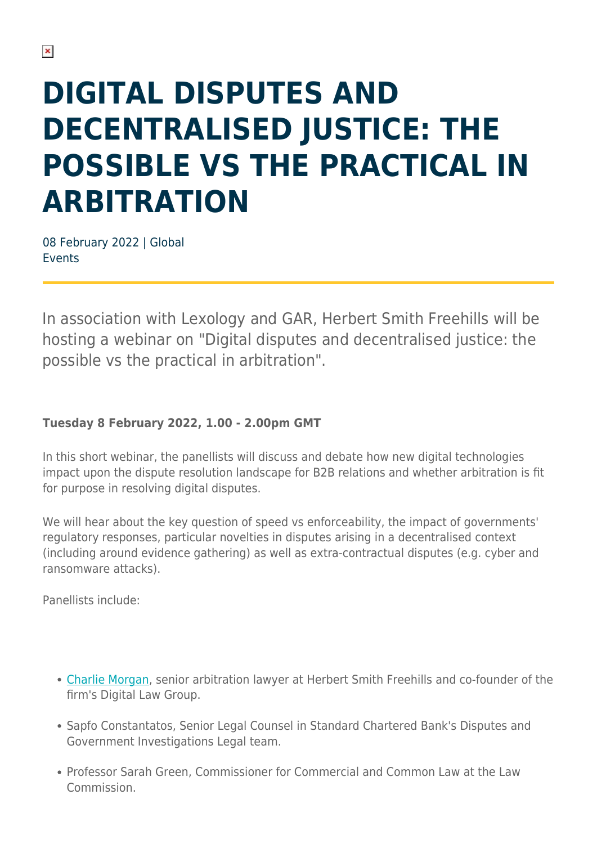## **DIGITAL DISPUTES AND DECENTRALISED JUSTICE: THE POSSIBLE VS THE PRACTICAL IN ARBITRATION**

08 February 2022 | Global Events

In association with Lexology and GAR, Herbert Smith Freehills will be hosting a webinar on "Digital disputes and decentralised justice: the possible vs the practical in arbitration".

## **Tuesday 8 February 2022, 1.00 - 2.00pm GMT**

In this short webinar, the panellists will discuss and debate how new digital technologies impact upon the dispute resolution landscape for B2B relations and whether arbitration is fit for purpose in resolving digital disputes.

We will hear about the key question of speed vs enforceability, the impact of governments' regulatory responses, particular novelties in disputes arising in a decentralised context (including around evidence gathering) as well as extra-contractual disputes (e.g. cyber and ransomware attacks).

Panellists include:

- [Charlie Morgan,](https://www.herbertsmithfreehills.com/our-people/charlie-morgan) senior arbitration lawyer at Herbert Smith Freehills and co-founder of the firm's Digital Law Group.
- Sapfo Constantatos, Senior Legal Counsel in Standard Chartered Bank's Disputes and Government Investigations Legal team.
- Professor Sarah Green, Commissioner for Commercial and Common Law at the Law Commission.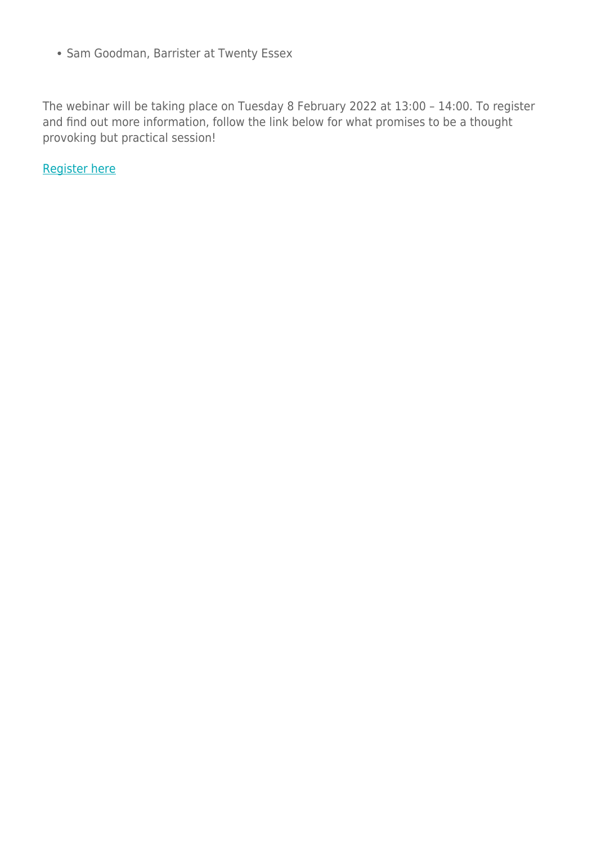• Sam Goodman, Barrister at Twenty Essex

The webinar will be taking place on Tuesday 8 February 2022 at 13:00 – 14:00. To register and find out more information, follow the link below for what promises to be a thought provoking but practical session!

[Register here](https://register.gotowebinar.com/register/255686351319498765?source=HSF)